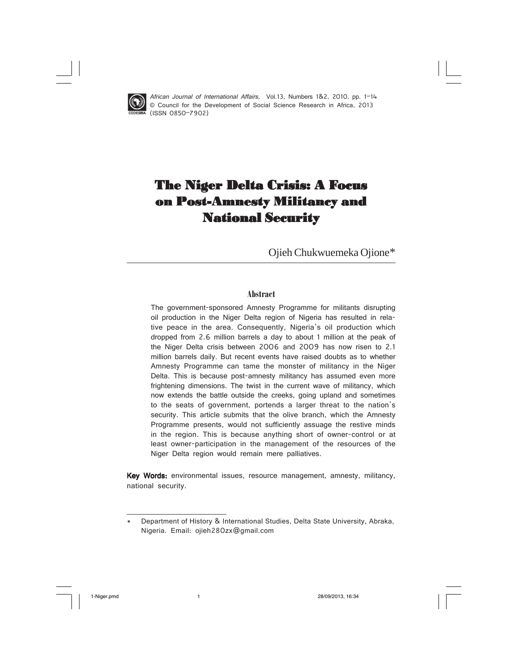

African Journal of International Affairs, Vol.13, Numbers 1&2, 2010, pp. 1–14 © Council for the Development of Social Science Research in Africa, 2013 (ISSN 0850–7902)

# The Niger Delta Crisis: A Focus on Post-Amnesty Militancy and **National Security**

Ojieh Chukwuemeka Ojione\*

#### **Abstract**

The government-sponsored Amnesty Programme for militants disrupting oil production in the Niger Delta region of Nigeria has resulted in relative peace in the area. Consequently, Nigeria's oil production which dropped from 2.6 million barrels a day to about 1 million at the peak of the Niger Delta crisis between 2006 and 2009 has now risen to 2.1 million barrels daily. But recent events have raised doubts as to whether Amnesty Programme can tame the monster of militancy in the Niger Delta. This is because post-amnesty militancy has assumed even more frightening dimensions. The twist in the current wave of militancy, which now extends the battle outside the creeks, going upland and sometimes to the seats of government, portends a larger threat to the nation's security. This article submits that the olive branch, which the Amnesty Programme presents, would not sufficiently assuage the restive minds in the region. This is because anything short of owner-control or at least owner-participation in the management of the resources of the Niger Delta region would remain mere palliatives.

Key Words: environmental issues, resource management, amnesty, militancy, national security.

Department of History & International Studies, Delta State University, Abraka, Nigeria. Email: ojieh280zx@gmail.com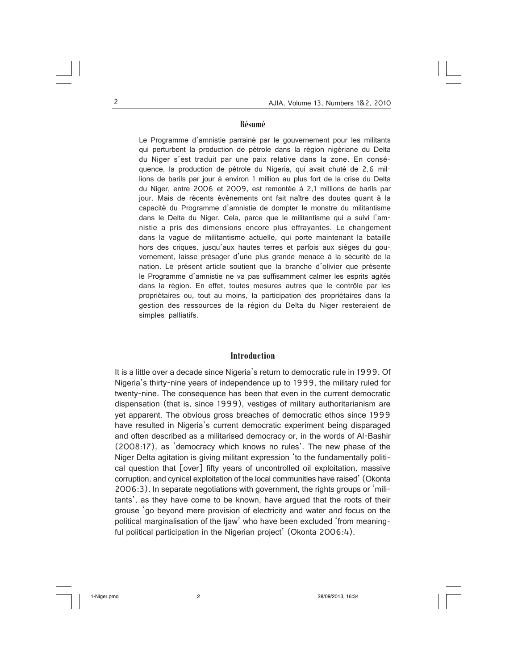#### **Résumé**

Le Programme d'amnistie parrainé par le gouvernement pour les militants qui perturbent la production de pétrole dans la région nigériane du Delta du Niger s'est traduit par une paix relative dans la zone. En conséquence, la production de pétrole du Nigeria, qui avait chuté de 2,6 millions de barils par jour à environ 1 million au plus fort de la crise du Delta du Niger, entre 2006 et 2009, est remontée à 2,1 millions de barils par jour. Mais de récents évènements ont fait naître des doutes quant à la capacité du Programme d'amnistie de dompter le monstre du militantisme dans le Delta du Niger. Cela, parce que le militantisme qui a suivi l'amnistie a pris des dimensions encore plus effrayantes. Le changement dans la vague de militantisme actuelle, qui porte maintenant la bataille hors des criques, jusqu'aux hautes terres et parfois aux sièges du gouvernement, laisse présager d'une plus grande menace à la sécurité de la nation. Le présent article soutient que la branche d'olivier que présente le Programme d'amnistie ne va pas suffisamment calmer les esprits agités dans la région. En effet, toutes mesures autres que le contrôle par les propriétaires ou, tout au moins, la participation des propriétaires dans la gestion des ressources de la région du Delta du Niger resteraient de simples palliatifs.

# **Introduction**

It is a little over a decade since Nigeria's return to democratic rule in 1999. Of Nigeria's thirty-nine years of independence up to 1999, the military ruled for twenty-nine. The consequence has been that even in the current democratic dispensation (that is, since 1999), vestiges of military authoritarianism are yet apparent. The obvious gross breaches of democratic ethos since 1999 have resulted in Nigeria's current democratic experiment being disparaged and often described as a militarised democracy or, in the words of Al-Bashir (2008:17), as 'democracy which knows no rules'. The new phase of the Niger Delta agitation is giving militant expression 'to the fundamentally political question that [over] fifty years of uncontrolled oil exploitation, massive corruption, and cynical exploitation of the local communities have raised' (Okonta 2006:3). In separate negotiations with government, the rights groups or 'militants', as they have come to be known, have argued that the roots of their grouse 'go beyond mere provision of electricity and water and focus on the political marginalisation of the Ijaw' who have been excluded 'from meaningful political participation in the Nigerian project' (Okonta 2006:4).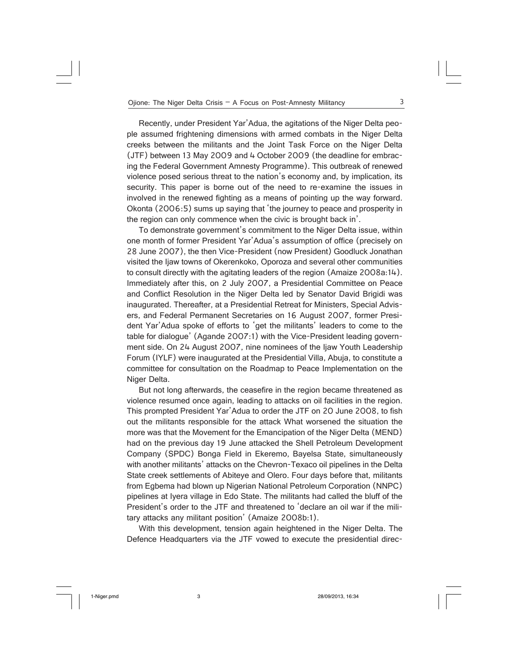Recently, under President Yar'Adua, the agitations of the Niger Delta people assumed frightening dimensions with armed combats in the Niger Delta creeks between the militants and the Joint Task Force on the Niger Delta (JTF) between 13 May 2009 and 4 October 2009 (the deadline for embracing the Federal Government Amnesty Programme). This outbreak of renewed violence posed serious threat to the nation's economy and, by implication, its security. This paper is borne out of the need to re-examine the issues in involved in the renewed fighting as a means of pointing up the way forward. Okonta (2006:5) sums up saying that 'the journey to peace and prosperity in the region can only commence when the civic is brought back in'.

To demonstrate government's commitment to the Niger Delta issue, within one month of former President Yar'Adua's assumption of office (precisely on 28 June 2007), the then Vice-President (now President) Goodluck Jonathan visited the Ijaw towns of Okerenkoko, Oporoza and several other communities to consult directly with the agitating leaders of the region (Amaize 2008a:14). Immediately after this, on 2 July 2007, a Presidential Committee on Peace and Conflict Resolution in the Niger Delta led by Senator David Brigidi was inaugurated. Thereafter, at a Presidential Retreat for Ministers, Special Advisers, and Federal Permanent Secretaries on 16 August 2007, former President Yar'Adua spoke of efforts to 'get the militants' leaders to come to the table for dialogue' (Agande 2007:1) with the Vice-President leading government side. On 24 August 2007, nine nominees of the Ijaw Youth Leadership Forum (IYLF) were inaugurated at the Presidential Villa, Abuja, to constitute a committee for consultation on the Roadmap to Peace Implementation on the Niger Delta.

But not long afterwards, the ceasefire in the region became threatened as violence resumed once again, leading to attacks on oil facilities in the region. This prompted President Yar'Adua to order the JTF on 20 June 2008, to fish out the militants responsible for the attack What worsened the situation the more was that the Movement for the Emancipation of the Niger Delta (MEND) had on the previous day 19 June attacked the Shell Petroleum Development Company (SPDC) Bonga Field in Ekeremo, Bayelsa State, simultaneously with another militants' attacks on the Chevron-Texaco oil pipelines in the Delta State creek settlements of Abiteye and Olero. Four days before that, militants from Egbema had blown up Nigerian National Petroleum Corporation (NNPC) pipelines at Iyera village in Edo State. The militants had called the bluff of the President's order to the JTF and threatened to 'declare an oil war if the military attacks any militant position' (Amaize 2008b:1).

With this development, tension again heightened in the Niger Delta. The Defence Headquarters via the JTF vowed to execute the presidential direc-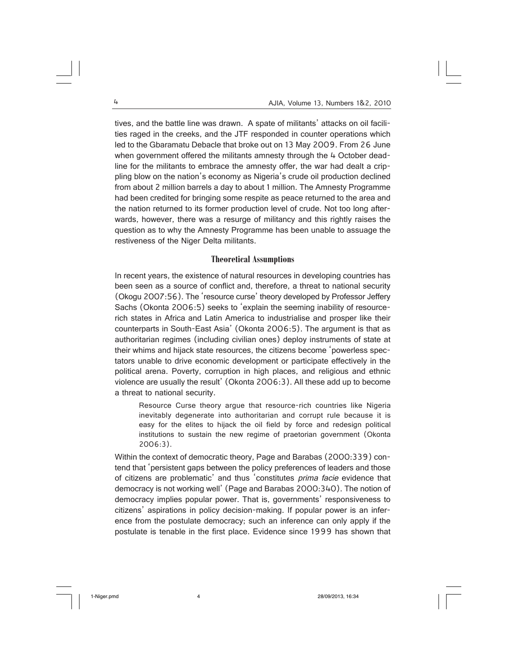tives, and the battle line was drawn. A spate of militants' attacks on oil facilities raged in the creeks, and the JTF responded in counter operations which led to the Gbaramatu Debacle that broke out on 13 May 2009. From 26 June when government offered the militants amnesty through the 4 October deadline for the militants to embrace the amnesty offer, the war had dealt a crippling blow on the nation's economy as Nigeria's crude oil production declined from about 2 million barrels a day to about 1 million. The Amnesty Programme had been credited for bringing some respite as peace returned to the area and the nation returned to its former production level of crude. Not too long afterwards, however, there was a resurge of militancy and this rightly raises the question as to why the Amnesty Programme has been unable to assuage the restiveness of the Niger Delta militants.

#### **Theoretical Assumptions**

In recent years, the existence of natural resources in developing countries has been seen as a source of conflict and, therefore, a threat to national security (Okogu 2007:56). The 'resource curse' theory developed by Professor Jeffery Sachs (Okonta 2006:5) seeks to 'explain the seeming inability of resourcerich states in Africa and Latin America to industrialise and prosper like their counterparts in South-East Asia' (Okonta 2006:5). The argument is that as authoritarian regimes (including civilian ones) deploy instruments of state at their whims and hijack state resources, the citizens become 'powerless spectators unable to drive economic development or participate effectively in the political arena. Poverty, corruption in high places, and religious and ethnic violence are usually the result' (Okonta 2006:3). All these add up to become a threat to national security.

Resource Curse theory argue that resource-rich countries like Nigeria inevitably degenerate into authoritarian and corrupt rule because it is easy for the elites to hijack the oil field by force and redesign political institutions to sustain the new regime of praetorian government (Okonta 2006:3).

Within the context of democratic theory, Page and Barabas (2000:339) contend that 'persistent gaps between the policy preferences of leaders and those of citizens are problematic' and thus 'constitutes prima facie evidence that democracy is not working well' (Page and Barabas 2000:340). The notion of democracy implies popular power. That is, governments' responsiveness to citizens' aspirations in policy decision-making. If popular power is an inference from the postulate democracy; such an inference can only apply if the postulate is tenable in the first place. Evidence since 1999 has shown that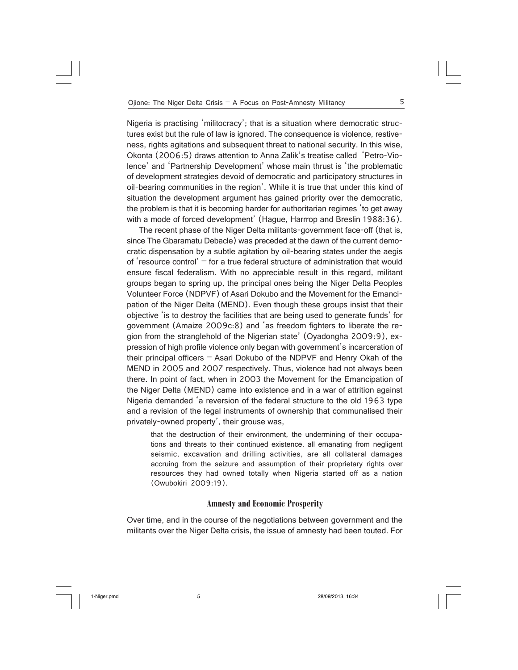Nigeria is practising 'militocracy'; that is a situation where democratic structures exist but the rule of law is ignored. The consequence is violence, restiveness, rights agitations and subsequent threat to national security. In this wise, Okonta (2006:5) draws attention to Anna Zalik's treatise called 'Petro-Violence' and 'Partnership Development' whose main thrust is 'the problematic of development strategies devoid of democratic and participatory structures in oil-bearing communities in the region'. While it is true that under this kind of situation the development argument has gained priority over the democratic, the problem is that it is becoming harder for authoritarian regimes 'to get away with a mode of forced development' (Hague, Harrrop and Breslin 1988:36).

The recent phase of the Niger Delta militants-government face-off (that is, since The Gbaramatu Debacle) was preceded at the dawn of the current democratic dispensation by a subtle agitation by oil-bearing states under the aegis of 'resource control'  $-$  for a true federal structure of administration that would ensure fiscal federalism. With no appreciable result in this regard, militant groups began to spring up, the principal ones being the Niger Delta Peoples Volunteer Force (NDPVF) of Asari Dokubo and the Movement for the Emancipation of the Niger Delta (MEND). Even though these groups insist that their objective 'is to destroy the facilities that are being used to generate funds' for government (Amaize 2009c:8) and 'as freedom fighters to liberate the region from the stranglehold of the Nigerian state' (Oyadongha 2009:9), expression of high profile violence only began with government's incarceration of their principal officers – Asari Dokubo of the NDPVF and Henry Okah of the MEND in 2005 and 2007 respectively. Thus, violence had not always been there. In point of fact, when in 2003 the Movement for the Emancipation of the Niger Delta (MEND) came into existence and in a war of attrition against Nigeria demanded 'a reversion of the federal structure to the old 1963 type and a revision of the legal instruments of ownership that communalised their privately-owned property', their grouse was,

that the destruction of their environment, the undermining of their occupations and threats to their continued existence, all emanating from negligent seismic, excavation and drilling activities, are all collateral damages accruing from the seizure and assumption of their proprietary rights over resources they had owned totally when Nigeria started off as a nation (Owubokiri 2009:19).

#### **Amnesty and Economic Prosperity**

Over time, and in the course of the negotiations between government and the militants over the Niger Delta crisis, the issue of amnesty had been touted. For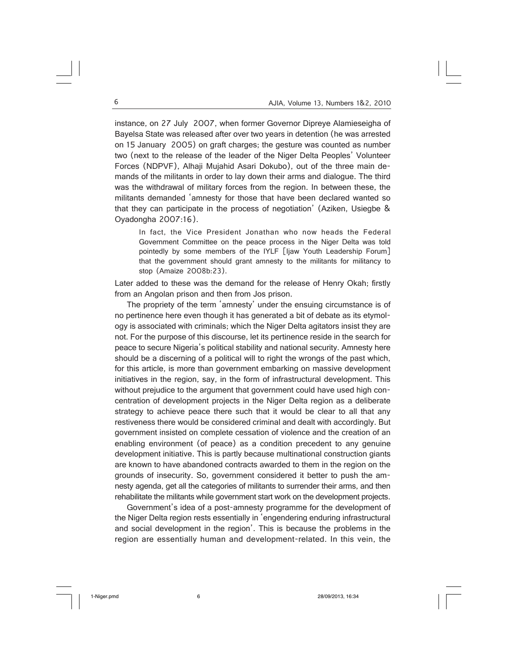instance, on 27 July 2007, when former Governor Dipreye Alamieseigha of Bayelsa State was released after over two years in detention (he was arrested on 15 January 2005) on graft charges; the gesture was counted as number two (next to the release of the leader of the Niger Delta Peoples' Volunteer Forces (NDPVF), Alhaji Mujahid Asari Dokubo), out of the three main demands of the militants in order to lay down their arms and dialogue. The third was the withdrawal of military forces from the region. In between these, the militants demanded 'amnesty for those that have been declared wanted so that they can participate in the process of negotiation' (Aziken, Usiegbe & Oyadongha 2007:16).

In fact, the Vice President Jonathan who now heads the Federal Government Committee on the peace process in the Niger Delta was told pointedly by some members of the IYLF [Ijaw Youth Leadership Forum] that the government should grant amnesty to the militants for militancy to stop (Amaize 2008b:23).

Later added to these was the demand for the release of Henry Okah; firstly from an Angolan prison and then from Jos prison.

The propriety of the term 'amnesty' under the ensuing circumstance is of no pertinence here even though it has generated a bit of debate as its etymology is associated with criminals; which the Niger Delta agitators insist they are not. For the purpose of this discourse, let its pertinence reside in the search for peace to secure Nigeria's political stability and national security. Amnesty here should be a discerning of a political will to right the wrongs of the past which, for this article, is more than government embarking on massive development initiatives in the region, say, in the form of infrastructural development. This without prejudice to the argument that government could have used high concentration of development projects in the Niger Delta region as a deliberate strategy to achieve peace there such that it would be clear to all that any restiveness there would be considered criminal and dealt with accordingly. But government insisted on complete cessation of violence and the creation of an enabling environment (of peace) as a condition precedent to any genuine development initiative. This is partly because multinational construction giants are known to have abandoned contracts awarded to them in the region on the grounds of insecurity. So, government considered it better to push the amnesty agenda, get all the categories of militants to surrender their arms, and then rehabilitate the militants while government start work on the development projects.

Government's idea of a post-amnesty programme for the development of the Niger Delta region rests essentially in 'engendering enduring infrastructural and social development in the region'. This is because the problems in the region are essentially human and development-related. In this vein, the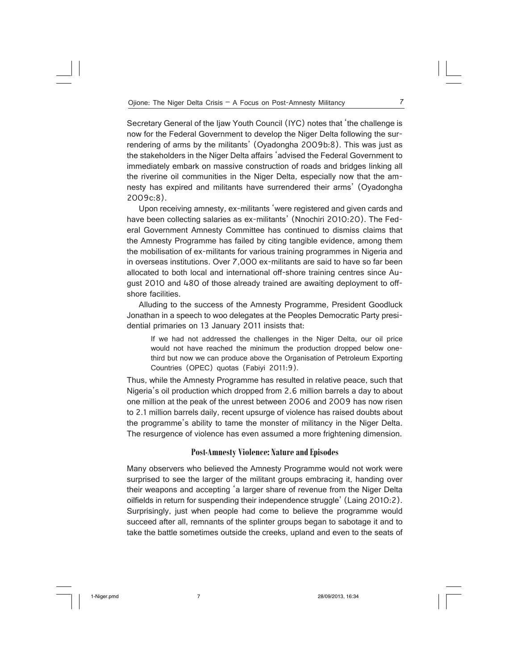Secretary General of the Ijaw Youth Council (IYC) notes that 'the challenge is now for the Federal Government to develop the Niger Delta following the surrendering of arms by the militants' (Oyadongha 2009b:8). This was just as the stakeholders in the Niger Delta affairs 'advised the Federal Government to immediately embark on massive construction of roads and bridges linking all the riverine oil communities in the Niger Delta, especially now that the amnesty has expired and militants have surrendered their arms' (Oyadongha 2009c:8).

Upon receiving amnesty, ex-militants 'were registered and given cards and have been collecting salaries as ex-militants' (Nnochiri 2010:20). The Federal Government Amnesty Committee has continued to dismiss claims that the Amnesty Programme has failed by citing tangible evidence, among them the mobilisation of ex-militants for various training programmes in Nigeria and in overseas institutions. Over 7,000 ex-militants are said to have so far been allocated to both local and international off-shore training centres since August 2010 and 480 of those already trained are awaiting deployment to offshore facilities.

Alluding to the success of the Amnesty Programme, President Goodluck Jonathan in a speech to woo delegates at the Peoples Democratic Party presidential primaries on 13 January 2011 insists that:

If we had not addressed the challenges in the Niger Delta, our oil price would not have reached the minimum the production dropped below onethird but now we can produce above the Organisation of Petroleum Exporting Countries (OPEC) quotas (Fabiyi 2011:9).

Thus, while the Amnesty Programme has resulted in relative peace, such that Nigeria's oil production which dropped from 2.6 million barrels a day to about one million at the peak of the unrest between 2006 and 2009 has now risen to 2.1 million barrels daily, recent upsurge of violence has raised doubts about the programme's ability to tame the monster of militancy in the Niger Delta. The resurgence of violence has even assumed a more frightening dimension.

# **Post-Amnesty Violence: Nature and Episodes**

Many observers who believed the Amnesty Programme would not work were surprised to see the larger of the militant groups embracing it, handing over their weapons and accepting 'a larger share of revenue from the Niger Delta oilfields in return for suspending their independence struggle' (Laing 2010:2). Surprisingly, just when people had come to believe the programme would succeed after all, remnants of the splinter groups began to sabotage it and to take the battle sometimes outside the creeks, upland and even to the seats of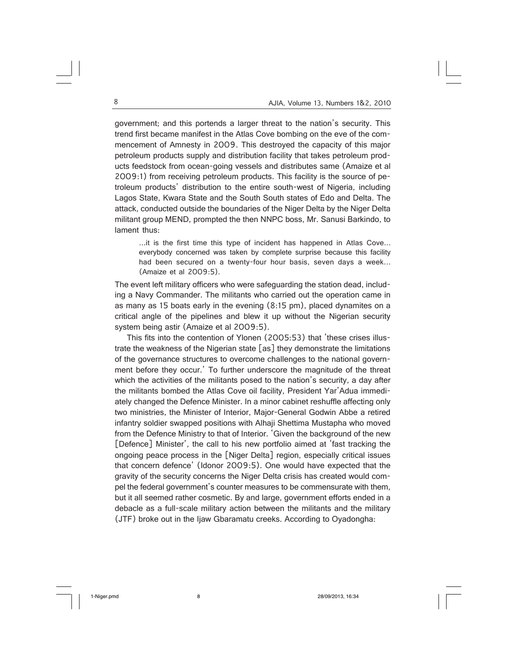government; and this portends a larger threat to the nation's security. This trend first became manifest in the Atlas Cove bombing on the eve of the commencement of Amnesty in 2009. This destroyed the capacity of this major petroleum products supply and distribution facility that takes petroleum products feedstock from ocean-going vessels and distributes same (Amaize et al 2009:1) from receiving petroleum products. This facility is the source of petroleum products' distribution to the entire south-west of Nigeria, including Lagos State, Kwara State and the South South states of Edo and Delta. The attack, conducted outside the boundaries of the Niger Delta by the Niger Delta militant group MEND, prompted the then NNPC boss, Mr. Sanusi Barkindo, to lament thus:

...it is the first time this type of incident has happened in Atlas Cove... everybody concerned was taken by complete surprise because this facility had been secured on a twenty-four hour basis, seven days a week... (Amaize et al 2009:5).

The event left military officers who were safeguarding the station dead, including a Navy Commander. The militants who carried out the operation came in as many as 15 boats early in the evening (8:15 pm), placed dynamites on a critical angle of the pipelines and blew it up without the Nigerian security system being astir (Amaize et al 2009:5).

This fits into the contention of Ylonen (2005:53) that 'these crises illustrate the weakness of the Nigerian state [as] they demonstrate the limitations of the governance structures to overcome challenges to the national government before they occur.' To further underscore the magnitude of the threat which the activities of the militants posed to the nation's security, a day after the militants bombed the Atlas Cove oil facility, President Yar'Adua immediately changed the Defence Minister. In a minor cabinet reshuffle affecting only two ministries, the Minister of Interior, Major-General Godwin Abbe a retired infantry soldier swapped positions with Alhaji Shettima Mustapha who moved from the Defence Ministry to that of Interior. 'Given the background of the new [Defence] Minister', the call to his new portfolio aimed at 'fast tracking the ongoing peace process in the [Niger Delta] region, especially critical issues that concern defence' (Idonor 2009:5). One would have expected that the gravity of the security concerns the Niger Delta crisis has created would compel the federal government's counter measures to be commensurate with them, but it all seemed rather cosmetic. By and large, government efforts ended in a debacle as a full-scale military action between the militants and the military (JTF) broke out in the Ijaw Gbaramatu creeks. According to Oyadongha: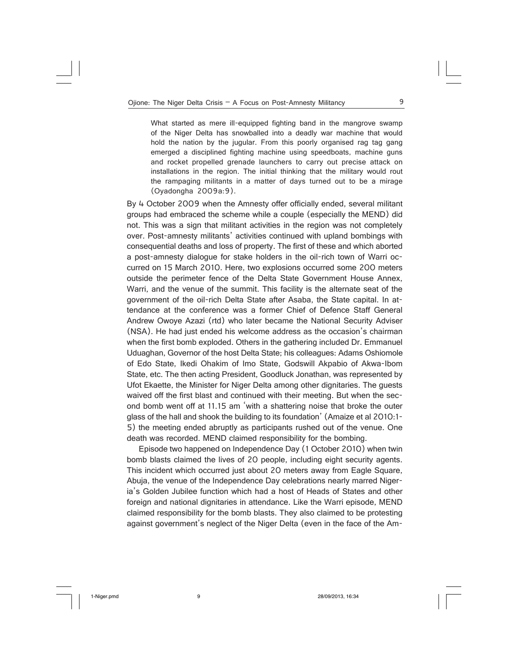What started as mere ill-equipped fighting band in the mangrove swamp of the Niger Delta has snowballed into a deadly war machine that would hold the nation by the jugular. From this poorly organised rag tag gang emerged a disciplined fighting machine using speedboats, machine guns and rocket propelled grenade launchers to carry out precise attack on installations in the region. The initial thinking that the military would rout the rampaging militants in a matter of days turned out to be a mirage (Oyadongha 2009a:9).

By 4 October 2009 when the Amnesty offer officially ended, several militant groups had embraced the scheme while a couple (especially the MEND) did not. This was a sign that militant activities in the region was not completely over. Post-amnesty militants' activities continued with upland bombings with consequential deaths and loss of property. The first of these and which aborted a post-amnesty dialogue for stake holders in the oil-rich town of Warri occurred on 15 March 2010. Here, two explosions occurred some 200 meters outside the perimeter fence of the Delta State Government House Annex, Warri, and the venue of the summit. This facility is the alternate seat of the government of the oil-rich Delta State after Asaba, the State capital. In attendance at the conference was a former Chief of Defence Staff General Andrew Owoye Azazi (rtd) who later became the National Security Adviser (NSA). He had just ended his welcome address as the occasion's chairman when the first bomb exploded. Others in the gathering included Dr. Emmanuel Uduaghan, Governor of the host Delta State; his colleagues: Adams Oshiomole of Edo State, Ikedi Ohakim of Imo State, Godswill Akpabio of Akwa-Ibom State, etc. The then acting President, Goodluck Jonathan, was represented by Ufot Ekaette, the Minister for Niger Delta among other dignitaries. The guests waived off the first blast and continued with their meeting. But when the second bomb went off at 11.15 am 'with a shattering noise that broke the outer glass of the hall and shook the building to its foundation' (Amaize et al 2010:1- 5) the meeting ended abruptly as participants rushed out of the venue. One death was recorded. MEND claimed responsibility for the bombing.

Episode two happened on Independence Day (1 October 2010) when twin bomb blasts claimed the lives of 20 people, including eight security agents. This incident which occurred just about 20 meters away from Eagle Square, Abuja, the venue of the Independence Day celebrations nearly marred Nigeria's Golden Jubilee function which had a host of Heads of States and other foreign and national dignitaries in attendance. Like the Warri episode, MEND claimed responsibility for the bomb blasts. They also claimed to be protesting against government's neglect of the Niger Delta (even in the face of the Am-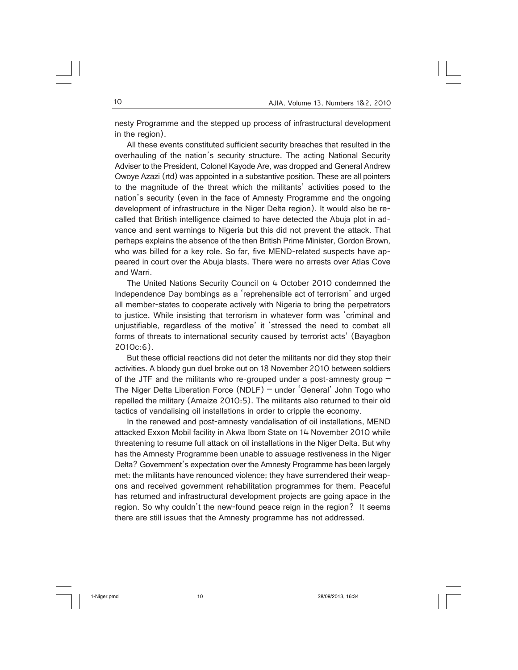nesty Programme and the stepped up process of infrastructural development in the region).

All these events constituted sufficient security breaches that resulted in the overhauling of the nation's security structure. The acting National Security Adviser to the President, Colonel Kayode Are, was dropped and General Andrew Owoye Azazi (rtd) was appointed in a substantive position. These are all pointers to the magnitude of the threat which the militants' activities posed to the nation's security (even in the face of Amnesty Programme and the ongoing development of infrastructure in the Niger Delta region). It would also be recalled that British intelligence claimed to have detected the Abuja plot in advance and sent warnings to Nigeria but this did not prevent the attack. That perhaps explains the absence of the then British Prime Minister, Gordon Brown, who was billed for a key role. So far, five MEND-related suspects have appeared in court over the Abuja blasts. There were no arrests over Atlas Cove and Warri.

The United Nations Security Council on 4 October 2010 condemned the Independence Day bombings as a 'reprehensible act of terrorism' and urged all member-states to cooperate actively with Nigeria to bring the perpetrators to justice. While insisting that terrorism in whatever form was 'criminal and unjustifiable, regardless of the motive' it 'stressed the need to combat all forms of threats to international security caused by terrorist acts' (Bayagbon 2010c:6).

But these official reactions did not deter the militants nor did they stop their activities. A bloody gun duel broke out on 18 November 2010 between soldiers of the JTF and the militants who re-grouped under a post-amnesty group  $-$ The Niger Delta Liberation Force (NDLF) – under 'General' John Togo who repelled the military (Amaize 2010:5). The militants also returned to their old tactics of vandalising oil installations in order to cripple the economy.

In the renewed and post-amnesty vandalisation of oil installations, MEND attacked Exxon Mobil facility in Akwa Ibom State on 14 November 2010 while threatening to resume full attack on oil installations in the Niger Delta. But why has the Amnesty Programme been unable to assuage restiveness in the Niger Delta? Government's expectation over the Amnesty Programme has been largely met: the militants have renounced violence; they have surrendered their weapons and received government rehabilitation programmes for them. Peaceful has returned and infrastructural development projects are going apace in the region. So why couldn't the new-found peace reign in the region? It seems there are still issues that the Amnesty programme has not addressed.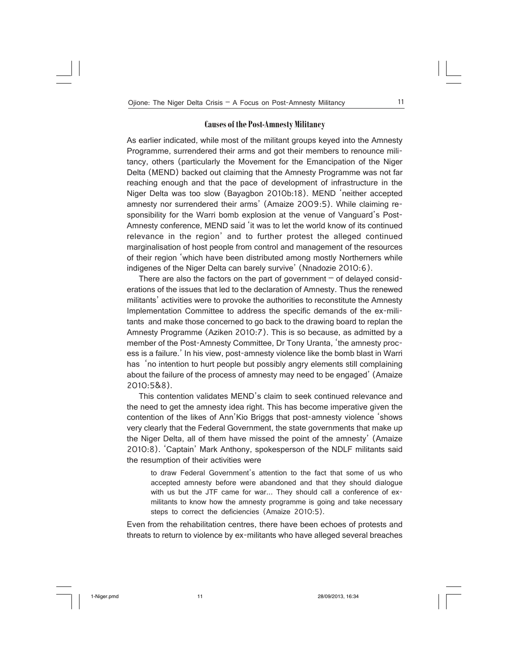#### **Causes of the Post-Amnesty Militancy**

As earlier indicated, while most of the militant groups keyed into the Amnesty Programme, surrendered their arms and got their members to renounce militancy, others (particularly the Movement for the Emancipation of the Niger Delta (MEND) backed out claiming that the Amnesty Programme was not far reaching enough and that the pace of development of infrastructure in the Niger Delta was too slow (Bayagbon 2010b:18). MEND 'neither accepted amnesty nor surrendered their arms' (Amaize 2009:5). While claiming responsibility for the Warri bomb explosion at the venue of Vanguard's Post-Amnesty conference, MEND said 'it was to let the world know of its continued relevance in the region' and to further protest the alleged continued marginalisation of host people from control and management of the resources of their region 'which have been distributed among mostly Northerners while indigenes of the Niger Delta can barely survive' (Nnadozie 2010:6).

There are also the factors on the part of government  $-$  of delayed considerations of the issues that led to the declaration of Amnesty. Thus the renewed militants' activities were to provoke the authorities to reconstitute the Amnesty Implementation Committee to address the specific demands of the ex-militants and make those concerned to go back to the drawing board to replan the Amnesty Programme (Aziken 2010:7). This is so because, as admitted by a member of the Post-Amnesty Committee, Dr Tony Uranta, 'the amnesty process is a failure.' In his view, post-amnesty violence like the bomb blast in Warri has 'no intention to hurt people but possibly angry elements still complaining about the failure of the process of amnesty may need to be engaged' (Amaize 2010:5&8).

This contention validates MEND's claim to seek continued relevance and the need to get the amnesty idea right. This has become imperative given the contention of the likes of Ann'Kio Briggs that post-amnesty violence 'shows very clearly that the Federal Government, the state governments that make up the Niger Delta, all of them have missed the point of the amnesty' (Amaize 2010:8). 'Captain' Mark Anthony, spokesperson of the NDLF militants said the resumption of their activities were

to draw Federal Government's attention to the fact that some of us who accepted amnesty before were abandoned and that they should dialogue with us but the JTF came for war... They should call a conference of exmilitants to know how the amnesty programme is going and take necessary steps to correct the deficiencies (Amaize 2010:5).

Even from the rehabilitation centres, there have been echoes of protests and threats to return to violence by ex-militants who have alleged several breaches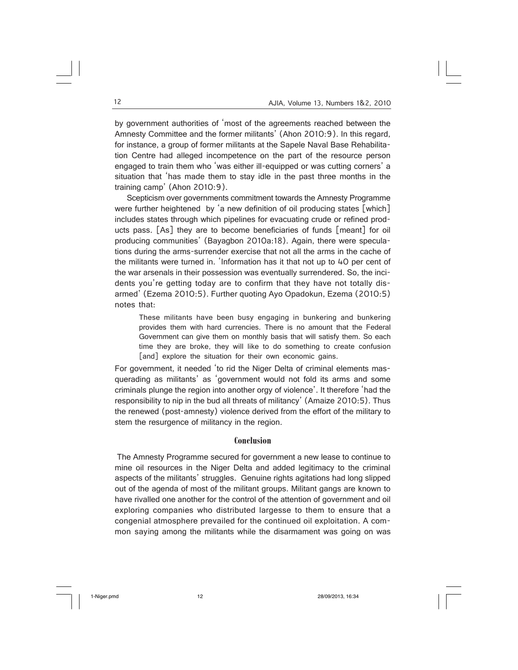by government authorities of 'most of the agreements reached between the Amnesty Committee and the former militants' (Ahon 2010:9). In this regard, for instance, a group of former militants at the Sapele Naval Base Rehabilitation Centre had alleged incompetence on the part of the resource person engaged to train them who 'was either ill-equipped or was cutting corners' a situation that 'has made them to stay idle in the past three months in the training camp' (Ahon 2010:9).

Scepticism over governments commitment towards the Amnesty Programme were further heightened by 'a new definition of oil producing states [which] includes states through which pipelines for evacuating crude or refined products pass. [As] they are to become beneficiaries of funds [meant] for oil producing communities' (Bayagbon 2010a:18). Again, there were speculations during the arms-surrender exercise that not all the arms in the cache of the militants were turned in. 'Information has it that not up to 40 per cent of the war arsenals in their possession was eventually surrendered. So, the incidents you're getting today are to confirm that they have not totally disarmed' (Ezema 2010:5). Further quoting Ayo Opadokun, Ezema (2010:5) notes that:

These militants have been busy engaging in bunkering and bunkering provides them with hard currencies. There is no amount that the Federal Government can give them on monthly basis that will satisfy them. So each time they are broke, they will like to do something to create confusion [and] explore the situation for their own economic gains.

For government, it needed 'to rid the Niger Delta of criminal elements masquerading as militants' as 'government would not fold its arms and some criminals plunge the region into another orgy of violence'. It therefore 'had the responsibility to nip in the bud all threats of militancy' (Amaize 2010:5). Thus the renewed (post-amnesty) violence derived from the effort of the military to stem the resurgence of militancy in the region.

# **Conclusion**

 The Amnesty Programme secured for government a new lease to continue to mine oil resources in the Niger Delta and added legitimacy to the criminal aspects of the militants' struggles. Genuine rights agitations had long slipped out of the agenda of most of the militant groups. Militant gangs are known to have rivalled one another for the control of the attention of government and oil exploring companies who distributed largesse to them to ensure that a congenial atmosphere prevailed for the continued oil exploitation. A common saying among the militants while the disarmament was going on was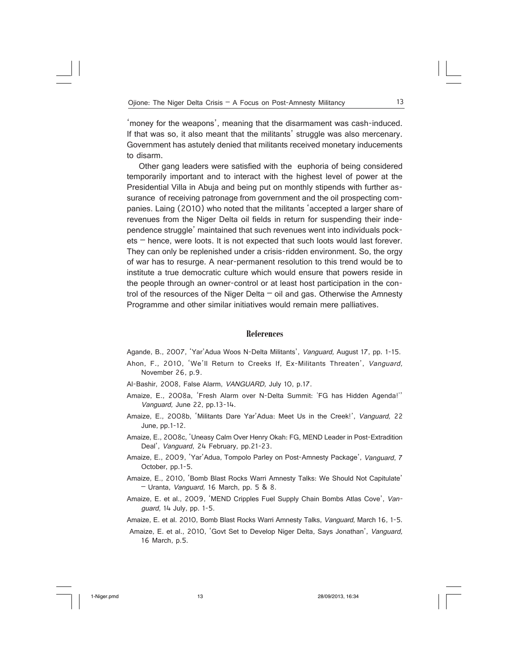'money for the weapons', meaning that the disarmament was cash-induced. If that was so, it also meant that the militants' struggle was also mercenary. Government has astutely denied that militants received monetary inducements to disarm.

Other gang leaders were satisfied with the euphoria of being considered temporarily important and to interact with the highest level of power at the Presidential Villa in Abuja and being put on monthly stipends with further assurance of receiving patronage from government and the oil prospecting companies. Laing (2010) who noted that the militants 'accepted a larger share of revenues from the Niger Delta oil fields in return for suspending their independence struggle' maintained that such revenues went into individuals pockets – hence, were loots. It is not expected that such loots would last forever. They can only be replenished under a crisis-ridden environment. So, the orgy of war has to resurge. A near-permanent resolution to this trend would be to institute a true democratic culture which would ensure that powers reside in the people through an owner-control or at least host participation in the control of the resources of the Niger Delta  $-$  oil and gas. Otherwise the Amnesty Programme and other similar initiatives would remain mere palliatives.

## **References**

Agande, B., 2007, 'Yar'Adua Woos N-Delta Militants', Vanguard, August 17, pp. 1-15.

- Ahon, F., 2010, 'We'll Return to Creeks If, Ex-Militants Threaten', Vanguard, November 26, p.9.
- Al-Bashir, 2008, False Alarm, VANGUARD, July 10, p.17.
- Amaize, E., 2008a, 'Fresh Alarm over N-Delta Summit: 'FG has Hidden Agenda!'' Vanguard, June 22, pp.13-14.
- Amaize, E., 2008b, 'Militants Dare Yar'Adua: Meet Us in the Creek!', Vanguard, 22 June, pp.1-12.
- Amaize, E., 2008c, 'Uneasy Calm Over Henry Okah: FG, MEND Leader in Post-Extradition Deal', Vanguard, 24 February, pp.21-23.
- Amaize, E., 2009, 'Yar'Adua, Tompolo Parley on Post-Amnesty Package', Vanguard, 7 October, pp.1-5.
- Amaize, E., 2010, 'Bomb Blast Rocks Warri Amnesty Talks: We Should Not Capitulate' – Uranta, Vanguard, 16 March, pp. 5 & 8.
- Amaize, E. et al., 2009, 'MEND Cripples Fuel Supply Chain Bombs Atlas Cove', Vanguard, 14 July, pp. 1-5.
- Amaize, E. et al. 2010, Bomb Blast Rocks Warri Amnesty Talks, Vanguard, March 16, 1-5.

Amaize, E. et al., 2010, 'Govt Set to Develop Niger Delta, Says Jonathan', Vanguard, 16 March, p.5.